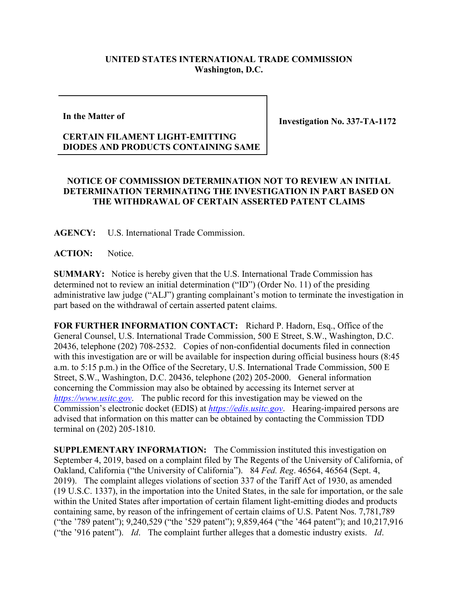## **UNITED STATES INTERNATIONAL TRADE COMMISSION Washington, D.C.**

**In the Matter of**

**Investigation No. 337-TA-1172**

## **CERTAIN FILAMENT LIGHT-EMITTING DIODES AND PRODUCTS CONTAINING SAME**

## **NOTICE OF COMMISSION DETERMINATION NOT TO REVIEW AN INITIAL DETERMINATION TERMINATING THE INVESTIGATION IN PART BASED ON THE WITHDRAWAL OF CERTAIN ASSERTED PATENT CLAIMS**

**AGENCY:** U.S. International Trade Commission.

ACTION: Notice.

**SUMMARY:** Notice is hereby given that the U.S. International Trade Commission has determined not to review an initial determination ("ID") (Order No. 11) of the presiding administrative law judge ("ALJ") granting complainant's motion to terminate the investigation in part based on the withdrawal of certain asserted patent claims.

**FOR FURTHER INFORMATION CONTACT:** Richard P. Hadorn, Esq., Office of the General Counsel, U.S. International Trade Commission, 500 E Street, S.W., Washington, D.C. 20436, telephone (202) 708-2532. Copies of non-confidential documents filed in connection with this investigation are or will be available for inspection during official business hours (8:45 a.m. to 5:15 p.m.) in the Office of the Secretary, U.S. International Trade Commission, 500 E Street, S.W., Washington, D.C. 20436, telephone (202) 205-2000. General information concerning the Commission may also be obtained by accessing its Internet server at *[https://www.usitc.gov](https://www.usitc.gov/)*. The public record for this investigation may be viewed on the Commission's electronic docket (EDIS) at *[https://edis.usitc.gov](https://edis.usitc.gov/)*. Hearing-impaired persons are advised that information on this matter can be obtained by contacting the Commission TDD terminal on (202) 205-1810.

**SUPPLEMENTARY INFORMATION:** The Commission instituted this investigation on September 4, 2019, based on a complaint filed by The Regents of the University of California, of Oakland, California ("the University of California"). 84 *Fed. Reg*. 46564, 46564 (Sept. 4, 2019). The complaint alleges violations of section 337 of the Tariff Act of 1930, as amended (19 U.S.C. 1337), in the importation into the United States, in the sale for importation, or the sale within the United States after importation of certain filament light-emitting diodes and products containing same, by reason of the infringement of certain claims of U.S. Patent Nos. 7,781,789 ("the '789 patent"); 9,240,529 ("the '529 patent"); 9,859,464 ("the '464 patent"); and 10,217,916 ("the '916 patent"). *Id*. The complaint further alleges that a domestic industry exists. *Id*.